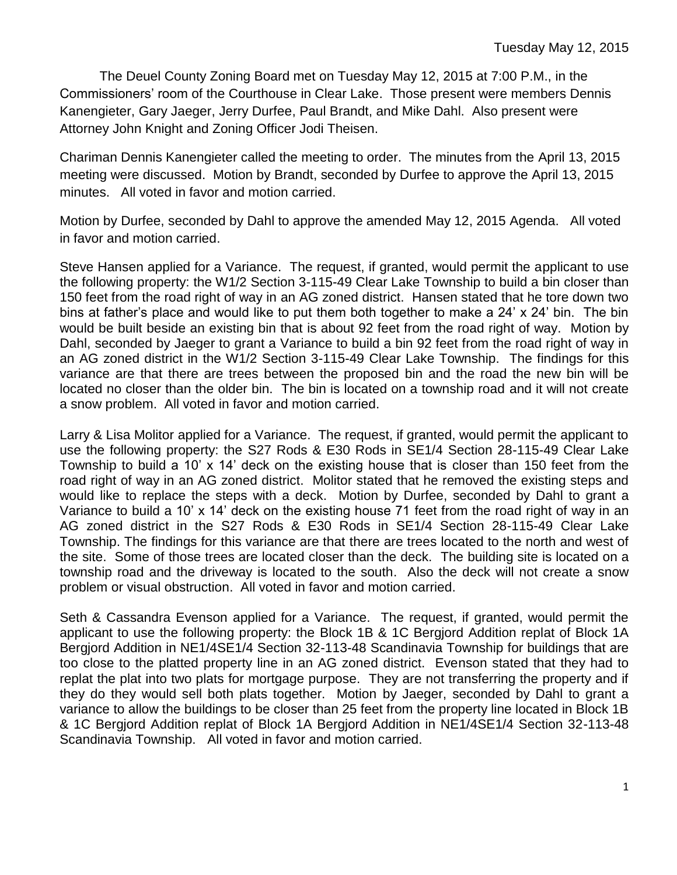The Deuel County Zoning Board met on Tuesday May 12, 2015 at 7:00 P.M., in the Commissioners' room of the Courthouse in Clear Lake. Those present were members Dennis Kanengieter, Gary Jaeger, Jerry Durfee, Paul Brandt, and Mike Dahl. Also present were Attorney John Knight and Zoning Officer Jodi Theisen.

Chariman Dennis Kanengieter called the meeting to order. The minutes from the April 13, 2015 meeting were discussed. Motion by Brandt, seconded by Durfee to approve the April 13, 2015 minutes. All voted in favor and motion carried.

Motion by Durfee, seconded by Dahl to approve the amended May 12, 2015 Agenda. All voted in favor and motion carried.

Steve Hansen applied for a Variance. The request, if granted, would permit the applicant to use the following property: the W1/2 Section 3-115-49 Clear Lake Township to build a bin closer than 150 feet from the road right of way in an AG zoned district. Hansen stated that he tore down two bins at father's place and would like to put them both together to make a 24' x 24' bin. The bin would be built beside an existing bin that is about 92 feet from the road right of way. Motion by Dahl, seconded by Jaeger to grant a Variance to build a bin 92 feet from the road right of way in an AG zoned district in the W1/2 Section 3-115-49 Clear Lake Township. The findings for this variance are that there are trees between the proposed bin and the road the new bin will be located no closer than the older bin. The bin is located on a township road and it will not create a snow problem. All voted in favor and motion carried.

Larry & Lisa Molitor applied for a Variance. The request, if granted, would permit the applicant to use the following property: the S27 Rods & E30 Rods in SE1/4 Section 28-115-49 Clear Lake Township to build a 10' x 14' deck on the existing house that is closer than 150 feet from the road right of way in an AG zoned district. Molitor stated that he removed the existing steps and would like to replace the steps with a deck. Motion by Durfee, seconded by Dahl to grant a Variance to build a 10' x 14' deck on the existing house 71 feet from the road right of way in an AG zoned district in the S27 Rods & E30 Rods in SE1/4 Section 28-115-49 Clear Lake Township. The findings for this variance are that there are trees located to the north and west of the site. Some of those trees are located closer than the deck. The building site is located on a township road and the driveway is located to the south. Also the deck will not create a snow problem or visual obstruction. All voted in favor and motion carried.

Seth & Cassandra Evenson applied for a Variance. The request, if granted, would permit the applicant to use the following property: the Block 1B & 1C Bergjord Addition replat of Block 1A Bergjord Addition in NE1/4SE1/4 Section 32-113-48 Scandinavia Township for buildings that are too close to the platted property line in an AG zoned district. Evenson stated that they had to replat the plat into two plats for mortgage purpose. They are not transferring the property and if they do they would sell both plats together. Motion by Jaeger, seconded by Dahl to grant a variance to allow the buildings to be closer than 25 feet from the property line located in Block 1B & 1C Bergjord Addition replat of Block 1A Bergjord Addition in NE1/4SE1/4 Section 32-113-48 Scandinavia Township. All voted in favor and motion carried.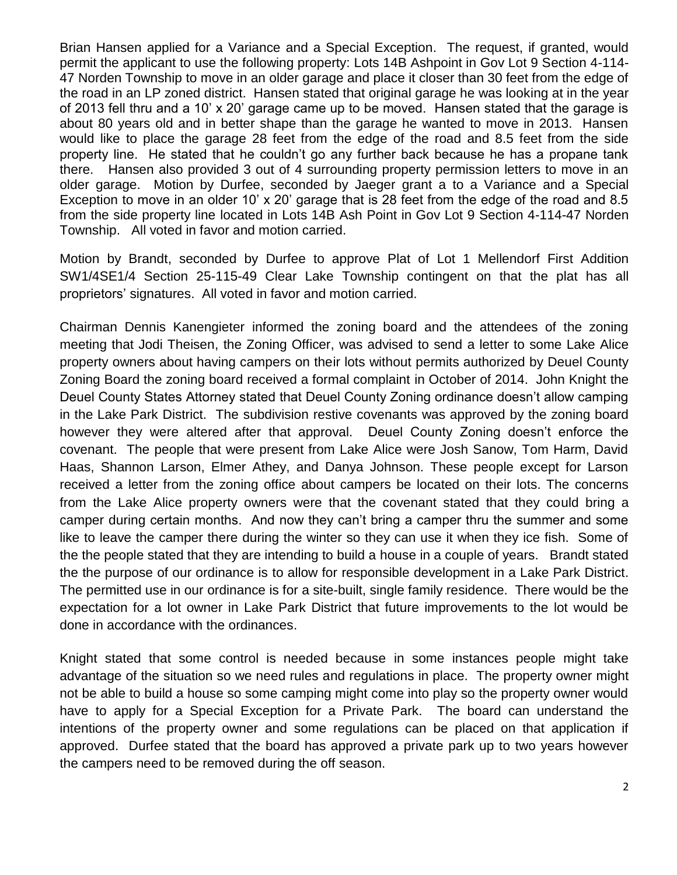Brian Hansen applied for a Variance and a Special Exception. The request, if granted, would permit the applicant to use the following property: Lots 14B Ashpoint in Gov Lot 9 Section 4-114- 47 Norden Township to move in an older garage and place it closer than 30 feet from the edge of the road in an LP zoned district. Hansen stated that original garage he was looking at in the year of 2013 fell thru and a 10' x 20' garage came up to be moved. Hansen stated that the garage is about 80 years old and in better shape than the garage he wanted to move in 2013. Hansen would like to place the garage 28 feet from the edge of the road and 8.5 feet from the side property line. He stated that he couldn't go any further back because he has a propane tank there. Hansen also provided 3 out of 4 surrounding property permission letters to move in an older garage. Motion by Durfee, seconded by Jaeger grant a to a Variance and a Special Exception to move in an older 10' x 20' garage that is 28 feet from the edge of the road and 8.5 from the side property line located in Lots 14B Ash Point in Gov Lot 9 Section 4-114-47 Norden Township. All voted in favor and motion carried.

Motion by Brandt, seconded by Durfee to approve Plat of Lot 1 Mellendorf First Addition SW1/4SE1/4 Section 25-115-49 Clear Lake Township contingent on that the plat has all proprietors' signatures. All voted in favor and motion carried.

Chairman Dennis Kanengieter informed the zoning board and the attendees of the zoning meeting that Jodi Theisen, the Zoning Officer, was advised to send a letter to some Lake Alice property owners about having campers on their lots without permits authorized by Deuel County Zoning Board the zoning board received a formal complaint in October of 2014. John Knight the Deuel County States Attorney stated that Deuel County Zoning ordinance doesn't allow camping in the Lake Park District. The subdivision restive covenants was approved by the zoning board however they were altered after that approval. Deuel County Zoning doesn't enforce the covenant. The people that were present from Lake Alice were Josh Sanow, Tom Harm, David Haas, Shannon Larson, Elmer Athey, and Danya Johnson. These people except for Larson received a letter from the zoning office about campers be located on their lots. The concerns from the Lake Alice property owners were that the covenant stated that they could bring a camper during certain months. And now they can't bring a camper thru the summer and some like to leave the camper there during the winter so they can use it when they ice fish. Some of the the people stated that they are intending to build a house in a couple of years. Brandt stated the the purpose of our ordinance is to allow for responsible development in a Lake Park District. The permitted use in our ordinance is for a site-built, single family residence. There would be the expectation for a lot owner in Lake Park District that future improvements to the lot would be done in accordance with the ordinances.

Knight stated that some control is needed because in some instances people might take advantage of the situation so we need rules and regulations in place. The property owner might not be able to build a house so some camping might come into play so the property owner would have to apply for a Special Exception for a Private Park. The board can understand the intentions of the property owner and some regulations can be placed on that application if approved. Durfee stated that the board has approved a private park up to two years however the campers need to be removed during the off season.